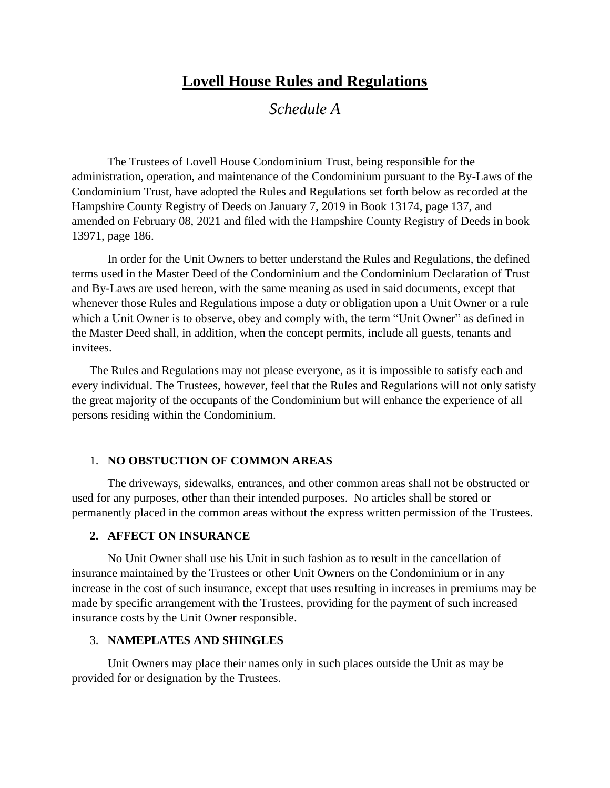# **Lovell House Rules and Regulations**

*Schedule A*

The Trustees of Lovell House Condominium Trust, being responsible for the administration, operation, and maintenance of the Condominium pursuant to the By-Laws of the Condominium Trust, have adopted the Rules and Regulations set forth below as recorded at the Hampshire County Registry of Deeds on January 7, 2019 in Book 13174, page 137, and amended on February 08, 2021 and filed with the Hampshire County Registry of Deeds in book 13971, page 186.

In order for the Unit Owners to better understand the Rules and Regulations, the defined terms used in the Master Deed of the Condominium and the Condominium Declaration of Trust and By-Laws are used hereon, with the same meaning as used in said documents, except that whenever those Rules and Regulations impose a duty or obligation upon a Unit Owner or a rule which a Unit Owner is to observe, obey and comply with, the term "Unit Owner" as defined in the Master Deed shall, in addition, when the concept permits, include all guests, tenants and invitees.

The Rules and Regulations may not please everyone, as it is impossible to satisfy each and every individual. The Trustees, however, feel that the Rules and Regulations will not only satisfy the great majority of the occupants of the Condominium but will enhance the experience of all persons residing within the Condominium.

#### 1. **NO OBSTUCTION OF COMMON AREAS**

The driveways, sidewalks, entrances, and other common areas shall not be obstructed or used for any purposes, other than their intended purposes. No articles shall be stored or permanently placed in the common areas without the express written permission of the Trustees.

#### **2. AFFECT ON INSURANCE**

No Unit Owner shall use his Unit in such fashion as to result in the cancellation of insurance maintained by the Trustees or other Unit Owners on the Condominium or in any increase in the cost of such insurance, except that uses resulting in increases in premiums may be made by specific arrangement with the Trustees, providing for the payment of such increased insurance costs by the Unit Owner responsible.

#### 3. **NAMEPLATES AND SHINGLES**

Unit Owners may place their names only in such places outside the Unit as may be provided for or designation by the Trustees.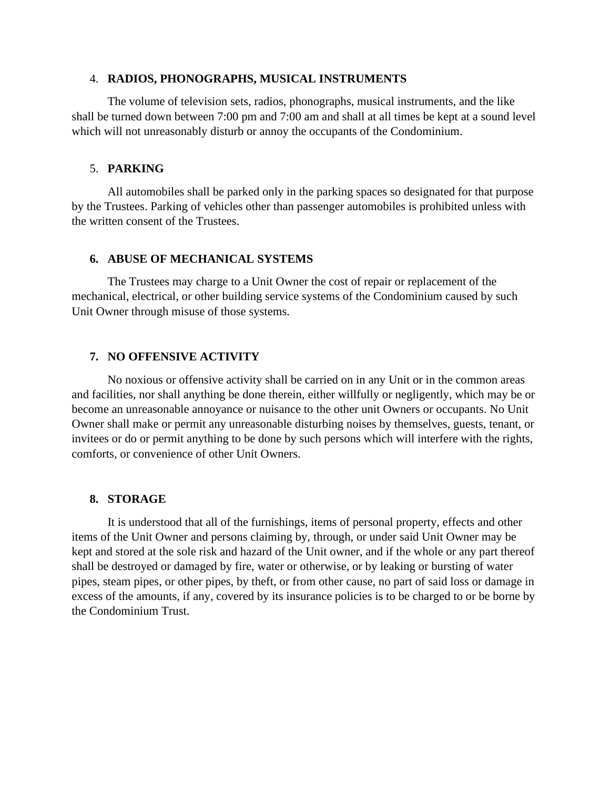#### 4. **RADIOS, PHONOGRAPHS, MUSICAL INSTRUMENTS**

The volume of television sets, radios, phonographs, musical instruments, and the like shall be turned down between 7:00 pm and 7:00 am and shall at all times be kept at a sound level which will not unreasonably disturb or annoy the occupants of the Condominium.

#### 5. **PARKING**

All automobiles shall be parked only in the parking spaces so designated for that purpose by the Trustees. Parking of vehicles other than passenger automobiles is prohibited unless with the written consent of the Trustees.

### **6. ABUSE OF MECHANICAL SYSTEMS**

The Trustees may charge to a Unit Owner the cost of repair or replacement of the mechanical, electrical, or other building service systems of the Condominium caused by such Unit Owner through misuse of those systems.

# **7. NO OFFENSIVE ACTIVITY**

No noxious or offensive activity shall be carried on in any Unit or in the common areas and facilities, nor shall anything be done therein, either willfully or negligently, which may be or become an unreasonable annoyance or nuisance to the other unit Owners or occupants. No Unit Owner shall make or permit any unreasonable disturbing noises by themselves, guests, tenant, or invitees or do or permit anything to be done by such persons which will interfere with the rights, comforts, or convenience of other Unit Owners.

## **8. STORAGE**

It is understood that all of the furnishings, items of personal property, effects and other items of the Unit Owner and persons claiming by, through, or under said Unit Owner may be kept and stored at the sole risk and hazard of the Unit owner, and if the whole or any part thereof shall be destroyed or damaged by fire, water or otherwise, or by leaking or bursting of water pipes, steam pipes, or other pipes, by theft, or from other cause, no part of said loss or damage in excess of the amounts, if any, covered by its insurance policies is to be charged to or be borne by the Condominium Trust.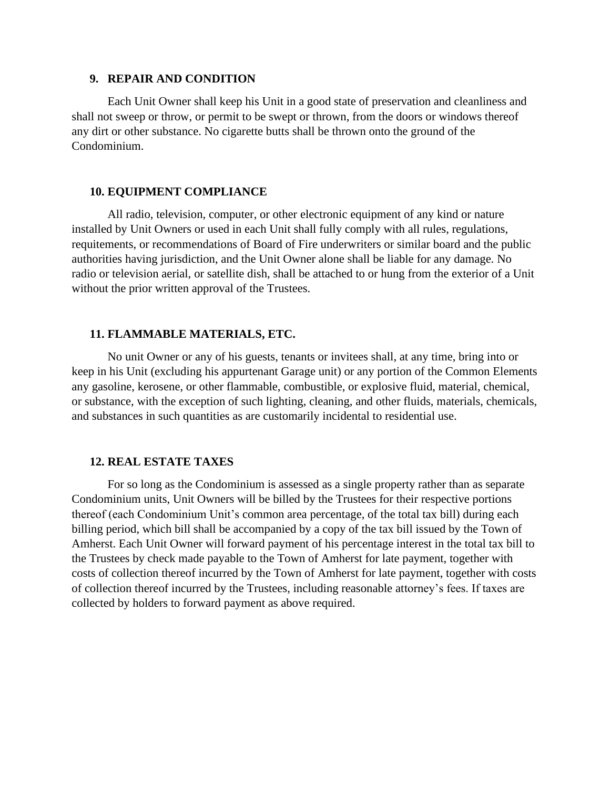#### **9. REPAIR AND CONDITION**

Each Unit Owner shall keep his Unit in a good state of preservation and cleanliness and shall not sweep or throw, or permit to be swept or thrown, from the doors or windows thereof any dirt or other substance. No cigarette butts shall be thrown onto the ground of the Condominium.

#### **10. EQUIPMENT COMPLIANCE**

All radio, television, computer, or other electronic equipment of any kind or nature installed by Unit Owners or used in each Unit shall fully comply with all rules, regulations, requitements, or recommendations of Board of Fire underwriters or similar board and the public authorities having jurisdiction, and the Unit Owner alone shall be liable for any damage. No radio or television aerial, or satellite dish, shall be attached to or hung from the exterior of a Unit without the prior written approval of the Trustees.

#### **11. FLAMMABLE MATERIALS, ETC.**

No unit Owner or any of his guests, tenants or invitees shall, at any time, bring into or keep in his Unit (excluding his appurtenant Garage unit) or any portion of the Common Elements any gasoline, kerosene, or other flammable, combustible, or explosive fluid, material, chemical, or substance, with the exception of such lighting, cleaning, and other fluids, materials, chemicals, and substances in such quantities as are customarily incidental to residential use.

#### **12. REAL ESTATE TAXES**

For so long as the Condominium is assessed as a single property rather than as separate Condominium units, Unit Owners will be billed by the Trustees for their respective portions thereof (each Condominium Unit's common area percentage, of the total tax bill) during each billing period, which bill shall be accompanied by a copy of the tax bill issued by the Town of Amherst. Each Unit Owner will forward payment of his percentage interest in the total tax bill to the Trustees by check made payable to the Town of Amherst for late payment, together with costs of collection thereof incurred by the Town of Amherst for late payment, together with costs of collection thereof incurred by the Trustees, including reasonable attorney's fees. If taxes are collected by holders to forward payment as above required.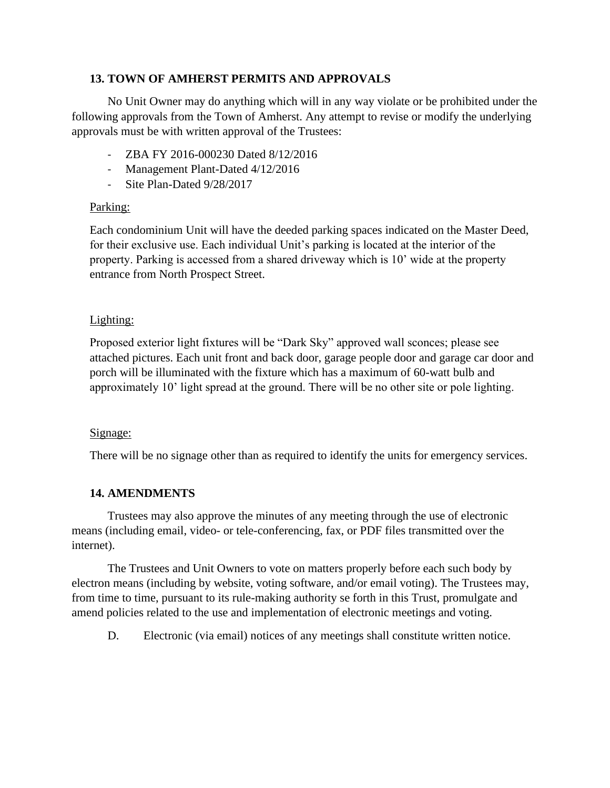# **13. TOWN OF AMHERST PERMITS AND APPROVALS**

No Unit Owner may do anything which will in any way violate or be prohibited under the following approvals from the Town of Amherst. Any attempt to revise or modify the underlying approvals must be with written approval of the Trustees:

- ZBA FY 2016-000230 Dated 8/12/2016
- Management Plant-Dated 4/12/2016
- Site Plan-Dated 9/28/2017

# Parking:

Each condominium Unit will have the deeded parking spaces indicated on the Master Deed, for their exclusive use. Each individual Unit's parking is located at the interior of the property. Parking is accessed from a shared driveway which is 10' wide at the property entrance from North Prospect Street.

# Lighting:

Proposed exterior light fixtures will be "Dark Sky" approved wall sconces; please see attached pictures. Each unit front and back door, garage people door and garage car door and porch will be illuminated with the fixture which has a maximum of 60-watt bulb and approximately 10' light spread at the ground. There will be no other site or pole lighting.

## Signage:

There will be no signage other than as required to identify the units for emergency services.

# **14. AMENDMENTS**

Trustees may also approve the minutes of any meeting through the use of electronic means (including email, video- or tele-conferencing, fax, or PDF files transmitted over the internet).

The Trustees and Unit Owners to vote on matters properly before each such body by electron means (including by website, voting software, and/or email voting). The Trustees may, from time to time, pursuant to its rule-making authority se forth in this Trust, promulgate and amend policies related to the use and implementation of electronic meetings and voting.

D. Electronic (via email) notices of any meetings shall constitute written notice.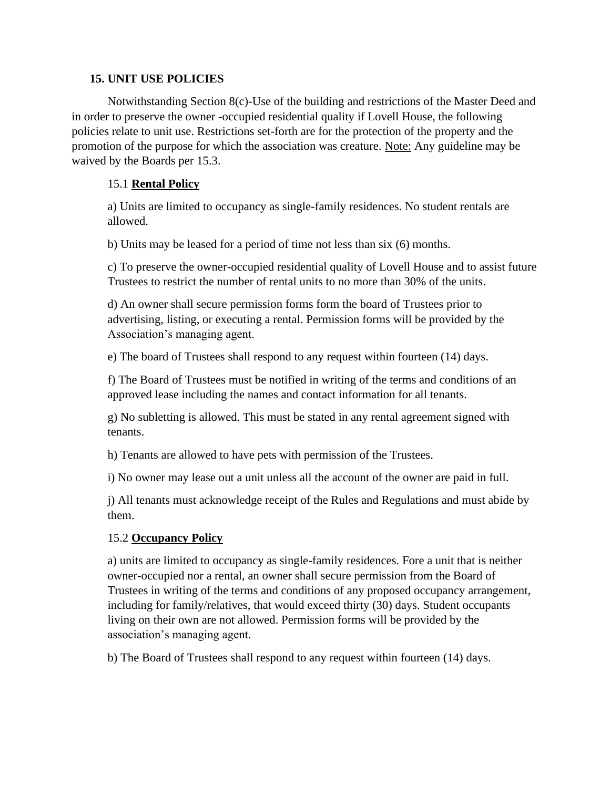### **15. UNIT USE POLICIES**

Notwithstanding Section 8(c)-Use of the building and restrictions of the Master Deed and in order to preserve the owner -occupied residential quality if Lovell House, the following policies relate to unit use. Restrictions set-forth are for the protection of the property and the promotion of the purpose for which the association was creature. Note: Any guideline may be waived by the Boards per 15.3.

# 15.1 **Rental Policy**

a) Units are limited to occupancy as single-family residences. No student rentals are allowed.

b) Units may be leased for a period of time not less than six (6) months.

c) To preserve the owner-occupied residential quality of Lovell House and to assist future Trustees to restrict the number of rental units to no more than 30% of the units.

d) An owner shall secure permission forms form the board of Trustees prior to advertising, listing, or executing a rental. Permission forms will be provided by the Association's managing agent.

e) The board of Trustees shall respond to any request within fourteen (14) days.

f) The Board of Trustees must be notified in writing of the terms and conditions of an approved lease including the names and contact information for all tenants.

g) No subletting is allowed. This must be stated in any rental agreement signed with tenants.

h) Tenants are allowed to have pets with permission of the Trustees.

i) No owner may lease out a unit unless all the account of the owner are paid in full.

j) All tenants must acknowledge receipt of the Rules and Regulations and must abide by them.

## 15.2 **Occupancy Policy**

a) units are limited to occupancy as single-family residences. Fore a unit that is neither owner-occupied nor a rental, an owner shall secure permission from the Board of Trustees in writing of the terms and conditions of any proposed occupancy arrangement, including for family/relatives, that would exceed thirty (30) days. Student occupants living on their own are not allowed. Permission forms will be provided by the association's managing agent.

b) The Board of Trustees shall respond to any request within fourteen (14) days.